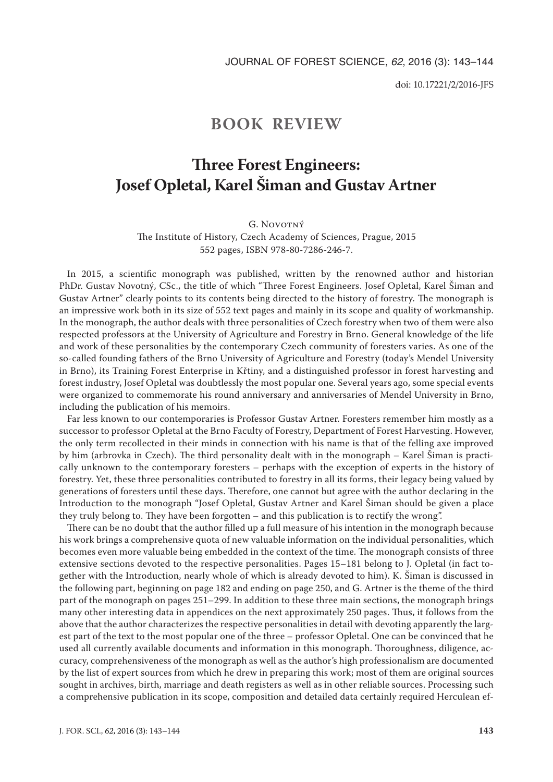## **BOOK REVIEW**

## **Three Forest Engineers: Josef Opletal, Karel Šiman and Gustav Artner**

## G. NOVOTNÝ

The Institute of History, Czech Academy of Sciences, Prague, 2015 552 pages, ISBN 978-80-7286-246-7.

In 2015, a scientific monograph was published, written by the renowned author and historian PhDr. Gustav Novotný, CSc., the title of which "Three Forest Engineers. Josef Opletal, Karel Šiman and Gustav Artner" clearly points to its contents being directed to the history of forestry. The monograph is an impressive work both in its size of 552 text pages and mainly in its scope and quality of workmanship. In the monograph, the author deals with three personalities of Czech forestry when two of them were also respected professors at the University of Agriculture and Forestry in Brno. General knowledge of the life and work of these personalities by the contemporary Czech community of foresters varies. As one of the so-called founding fathers of the Brno University of Agriculture and Forestry (today's Mendel University in Brno), its Training Forest Enterprise in Křtiny, and a distinguished professor in forest harvesting and forest industry, Josef Opletal was doubtlessly the most popular one. Several years ago, some special events were organized to commemorate his round anniversary and anniversaries of Mendel University in Brno, including the publication of his memoirs.

Far less known to our contemporaries is Professor Gustav Artner. Foresters remember him mostly as a successor to professor Opletal at the Brno Faculty of Forestry, Department of Forest Harvesting. However, the only term recollected in their minds in connection with his name is that of the felling axe improved by him (arbrovka in Czech). The third personality dealt with in the monograph – Karel Šiman is practically unknown to the contemporary foresters – perhaps with the exception of experts in the history of forestry. Yet, these three personalities contributed to forestry in all its forms, their legacy being valued by generations of foresters until these days. Therefore, one cannot but agree with the author declaring in the Introduction to the monograph "Josef Opletal, Gustav Artner and Karel Šiman should be given a place they truly belong to. They have been forgotten – and this publication is to rectify the wrong".

There can be no doubt that the author filled up a full measure of his intention in the monograph because his work brings a comprehensive quota of new valuable information on the individual personalities, which becomes even more valuable being embedded in the context of the time. The monograph consists of three extensive sections devoted to the respective personalities. Pages 15–181 belong to J. Opletal (in fact together with the Introduction, nearly whole of which is already devoted to him). K. Šiman is discussed in the following part, beginning on page 182 and ending on page 250, and G. Artner is the theme of the third part of the monograph on pages 251–299. In addition to these three main sections, the monograph brings many other interesting data in appendices on the next approximately 250 pages. Thus, it follows from the above that the author characterizes the respective personalities in detail with devoting apparently the largest part of the text to the most popular one of the three – professor Opletal. One can be convinced that he used all currently available documents and information in this monograph. Thoroughness, diligence, accuracy, comprehensiveness of the monograph as well as the author's high professionalism are documented by the list of expert sources from which he drew in preparing this work; most of them are original sources sought in archives, birth, marriage and death registers as well as in other reliable sources. Processing such a comprehensive publication in its scope, composition and detailed data certainly required Herculean ef